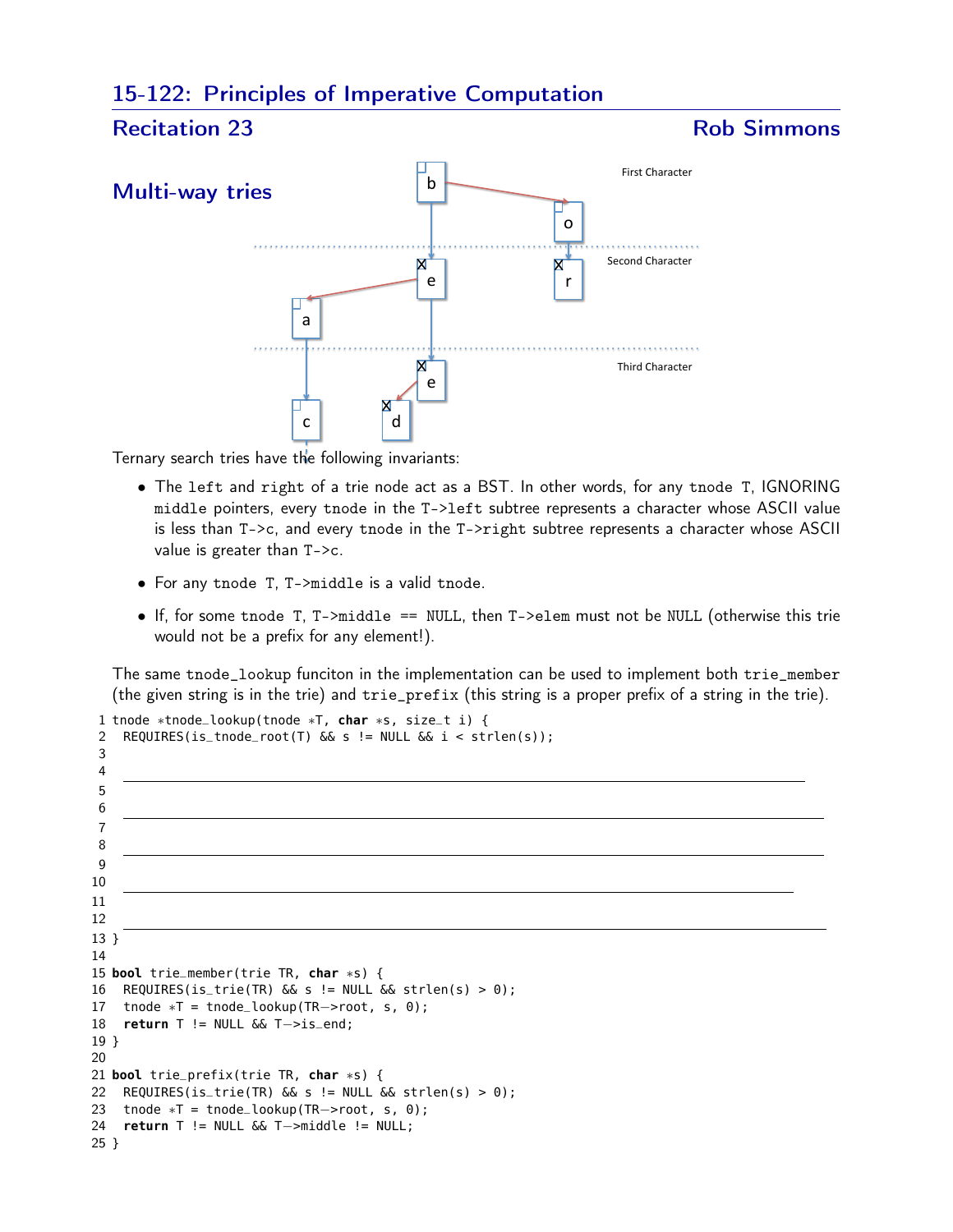## 15-122: Principles of Imperative Computation



Ternary search tries have the following invariants:

- The left and right of a trie node act as a BST. In other words, for any tnode T, IGNORING middle pointers, every tnode in the T->left subtree represents a character whose ASCII value is less than T->c, and every tnode in the T->right subtree represents a character whose ASCII value is greater than T->c.
- For any tnode T, T->middle is a valid tnode.
- If, for some tnode T, T->middle == NULL, then T->elem must not be NULL (otherwise this trie would not be a prefix for any element!).

The same tnode\_lookup funciton in the implementation can be used to implement both trie\_member (the given string is in the trie) and trie\_prefix (this string is a proper prefix of a string in the trie).

```
1 tnode ∗tnode_lookup(tnode ∗T, char ∗s, size_t i) {
2 REQUIRES(is_tnode_root(T) && s != NULL && i < strlen(s));
3
4
5
6
7
8
9
10
11
12
13 }
14
15 bool trie_member(trie TR, char ∗s) {
16 REQUIRES(is_trie(TR) \&s != NULL \&s strlen(s) > 0);
17 tnode ∗T = tnode_lookup(TR−>root, s, 0);
18 return T != NULL && T−>is_end;
19 }
20
21 bool trie_prefix(trie TR, char ∗s) {
22 REQUIRES(is_trie(TR) &s i= NULL &s strlen(s) > 0);
23 tnode ∗T = tnode_lookup(TR−>root, s, 0);
24 return T != NULL && T−>middle != NULL;
25 }
```